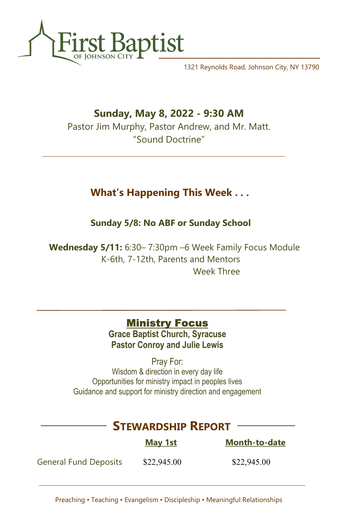

1321 Reynolds Road, Johnson City, NY 13790

## Sunday, May 8, 2022 - 9:30 AM

Pastor Jim Murphy, Pastor Andrew, and Mr. Matt. "Sound Doctrine"

## What's Happening This Week . . .

Sunday 5/8: No ABF or Sunday School

 Wednesday 5/11: 6:30– 7:30pm –6 Week Family Focus Module K-6th, 7-12th, Parents and Mentors Week Three

## **Ministry Focus**

Grace Baptist Church, Syracuse Pastor Conroy and Julie Lewis

Pray For: Wisdom & direction in every day life Opportunities for ministry impact in peoples lives Guidance and support for ministry direction and engagement

# STEWARDSHIP REPORT

|                              | <b>May 1st</b> | <b>Month-to-date</b> |
|------------------------------|----------------|----------------------|
| <b>General Fund Deposits</b> | \$22,945.00    | \$22,945.00          |